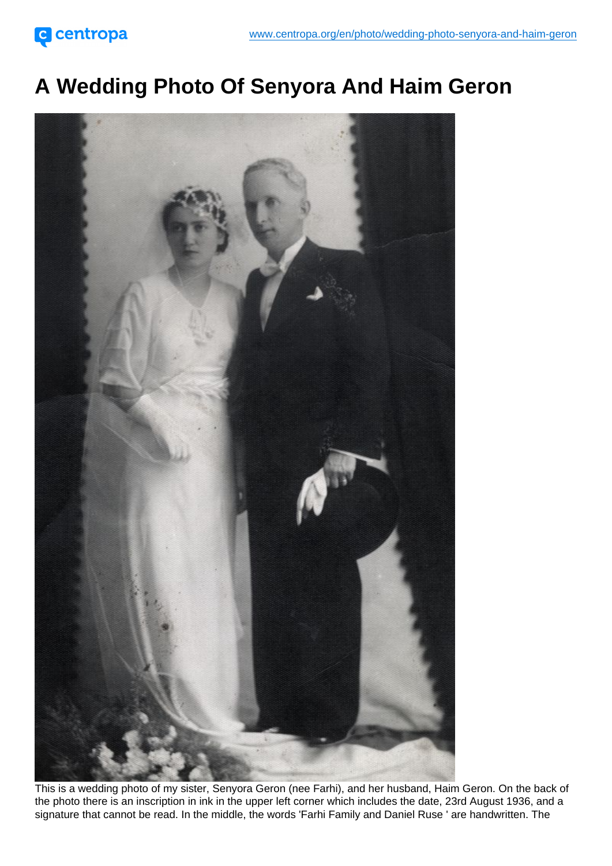## A Wedding Photo Of Senyora And Haim Geron

This is a wedding photo of my sister, Senyora Geron (nee Farhi), and her husband, Haim Geron. On the back of the photo there is an inscription in ink in the upper left corner which includes the date, 23rd August 1936, and a signature that cannot be read. In the middle, the words 'Farhi Family and Daniel Ruse ' are handwritten. The